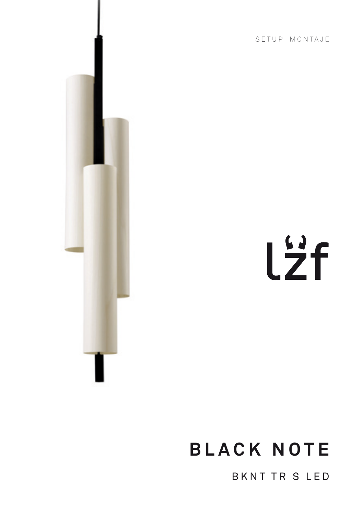SETUP MONTAJE



# Lzf

# **BLACK NOTE**

BKNT TR S LED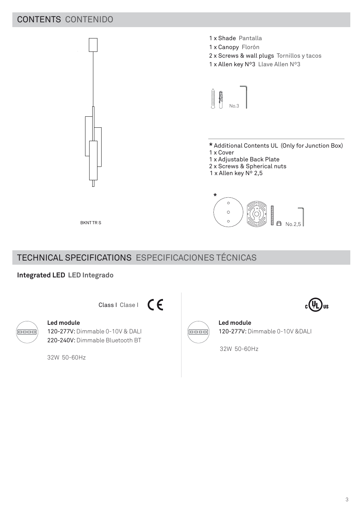# CONTENTS CONTENIDO



# TECHNICAL SPECIFICATIONS ESPECIFICACIONES TÉCNICAS

#### **Integrated LED LED Integrado**

Class I Clase |  $\epsilon$ 



**Led module** 120-277V: Dimmable 0-10V &DALI

32W 50-60Hz



#### **Led module**

120-277V: Dimmable 0-10V & DALI 220-240V: Dimmable Bluetooth BT

32W 50-60Hz

) us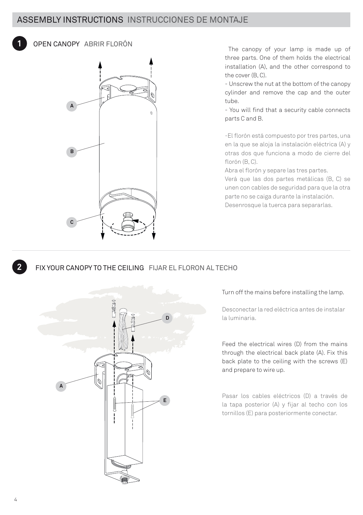

OPEN CANOPY ABRIR FLORÓN



 The canopy of your lamp is made up of three parts. One of them holds the electrical installation (A), and the other correspond to the cover (B, C).

- Unscrew the nut at the bottom of the canopy cylinder and remove the cap and the outer tube.

- You will find that a security cable connects parts C and B.

-El florón está compuesto por tres partes, una en la que se aloja la instalación eléctrica (A) y otras dos que funciona a modo de cierre del florón (B, C).

Abra el florón y separe las tres partes. Verá que las dos partes metálicas (B, C) se unen con cables de seguridad para que la otra parte no se caiga durante la instalación. Desenrosque la tuerca para separarlas.



#### FIX YOUR CANOPY TO THE CEILING FIJAR EL FLORON AL TECHO



Turn off the mains before installing the lamp.

Desconectar la red eléctrica antes de instalar la luminaria.

Feed the electrical wires (D) from the mains through the electrical back plate (A). Fix this back plate to the ceiling with the screws (E) and prepare to wire up.

Pasar los cables eléctricos (D) a través de la tapa posterior (A) y fijar al techo con los tornillos (E) para posteriormente conectar.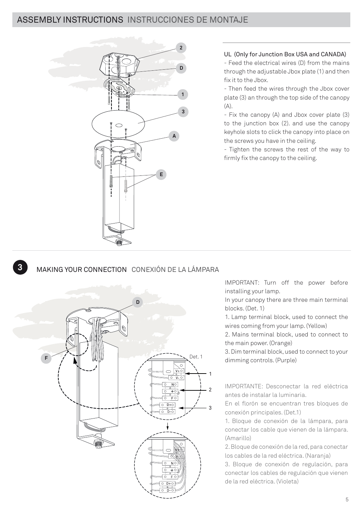

#### UL (Only for Junction Box USA and CANADA)

- Feed the electrical wires (D) from the mains through the adjustable Jbox plate (1) and then fix it to the Jbox.

- Then feed the wires through the Jbox cover plate (3) an through the top side of the canopy  $(A)$ .

- Fix the canopy (A) and Jbox cover plate (3) to the junction box (2). and use the canopy keyhole slots to click the canopy into place on the screws you have in the ceiling.

- Tighten the screws the rest of the way to firmly fix the canopy to the ceiling.

#### MAKING YOUR CONNECTION CONEXIÓN DE LA LÁMPARA

**3**



IMPORTANT: Turn off the power before installing your lamp.

In your canopy there are three main terminal blocks. (Det. 1)

1. Lamp terminal block, used to connect the wires coming from your lamp. (Yellow)

2. Mains terminal block, used to connect to the main power. (Orange)

3. Dim terminal block, used to connect to your dimming controls. (Purple)

IMPORTANTE: Desconectar la red eléctrica antes de instalar la luminaria.

En el florón se encuentran tres bloques de conexión principales. (Det.1)

1. Bloque de conexión de la lámpara, para conectar los cable que vienen de la lámpara. (Amarillo)

2. Bloque de conexión de la red, para conectar los cables de la red eléctrica. (Naranja)

3. Bloque de conexión de regulación, para conectar los cables de regulación que vienen de la red eléctrica. (Violeta)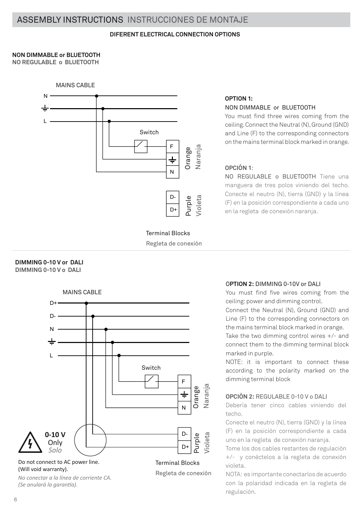#### **DIFERENT ELECTRICAL CONNECTION OPTIONS**

#### **NON DIMMABLE or BLUETOOTH**

**NO REGULABLE o BLUETOOTH**



Terminal Blocks Regleta de conexión

#### **DIMMING 0-10 V or DALI DIMMING 0-10 V o DALI**



*No conectar a la línea de corriente CA. (Se anulará la garantía).*

Regleta de conexión

#### **OPTION 1:**  NON DIMMABLE or BLUETOOTH

You must find three wires coming from the ceiling. Connect the Neutral (N), Ground (GND) and Line (F) to the corresponding connectors on the mains terminal block marked in orange.

#### **OPCIÓN 1**:

NO REGULABLE o BLUETOOTH Tiene una manguera de tres polos viniendo del techo. Conecte el neutro (N), tierra (GND) y la línea (F) en la posición correspondiente a cada uno en la regleta de conexión naranja.

#### O**PTION 2:** DIMMING 0-10V or DALI

You must find five wires coming from the ceiling: power and dimming control.

Connect the Neutral (N), Ground (GND) and Line (F) to the corresponding connectors on the mains terminal block marked in orange.

Take the two dimming control wires +/- and connect them to the dimming terminal block marked in purple.

NOTE: it is important to connect these according to the polarity marked on the dimming terminal block

#### **OPCIÓN 2:** REGULABLE 0-10 V o DALI

Debería tener cinco cables viniendo del techo.

Conecte el neutro (N), tierra (GND) y la línea (F) en la posición correspondiente a cada uno en la regleta de conexión naranja.

Tome los dos cables restantes de regulación +/- y conéctelos a la regleta de conexión violeta.

NOTA: es importante conectarlos de acuerdo con la polaridad indicada en la regleta de regulación.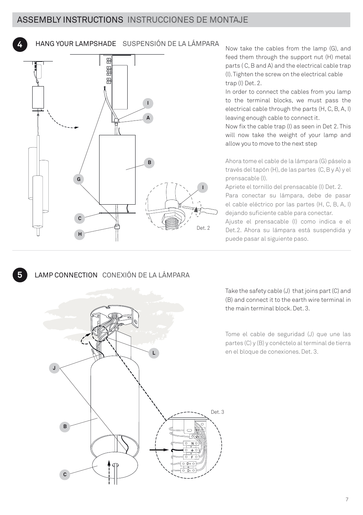**4**

**5**

HANG YOUR LAMPSHADE SUSPENSIÓN DE LA LÁMPARA



Now take the cables from the lamp (G), and feed them through the support nut (H) metal parts ( C, B and A) and the electrical cable trap (I). Tighten the screw on the electrical cable trap (I) Det. 2.

In order to connect the cables from you lamp to the terminal blocks, we must pass the electrical cable through the parts (H, C, B, A, I) leaving enough cable to connect it.

Now fix the cable trap (I) as seen in Det 2. This will now take the weight of your lamp and allow you to move to the next step

Ahora tome el cable de la lámpara (G) páselo a través del tapón (H), de las partes (C, B y A) y el prensacable (I).

Apriete el tornillo del prensacable (I) Det. 2.

Para conectar su lámpara, debe de pasar el cable eléctrico por las partes (H, C, B, A, I) dejando suficiente cable para conectar.

Ajuste el prensacable (I) como indica e el Det.2. Ahora su lámpara está suspendida y puede pasar al siguiente paso.

# LAMP CONNECTION CONEXIÓN DE LA LÁMPARA



Take the safety cable (J) that joins part (C) and (B) and connect it to the earth wire terminal in the main terminal block. Det. 3.

Tome el cable de seguridad (J) que une las partes (C) y (B) y conéctelo al terminal de tierra **L** en el bloque de conexiones. Det. 3.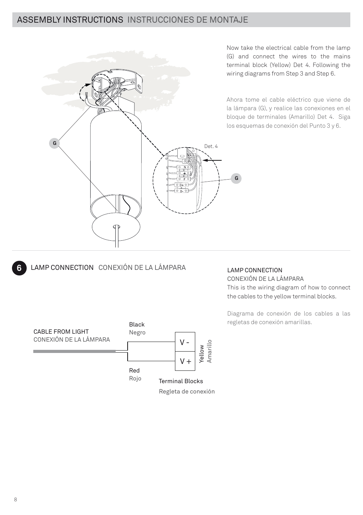

Now take the electrical cable from the lamp (G) and connect the wires to the mains terminal block (Yellow) Det 4. Following the wiring diagrams from Step 3 and Step 6.

Ahora tome el cable eléctrico que viene de la lámpara (G), y realice las conexiones en el bloque de terminales (Amarillo) Det 4. Siga los esquemas de conexión del Punto 3 y 6.

### LAMP CONNECTION CONEXIÓN DE LA LÁMPARA

#### LAMP CONNECTION CONEXIÓN DE LA LÁMPARA

This is the wiring diagram of how to connect the cables to the yellow terminal blocks.

Diagrama de conexión de los cables a las regletas de conexión amarillas.



**6**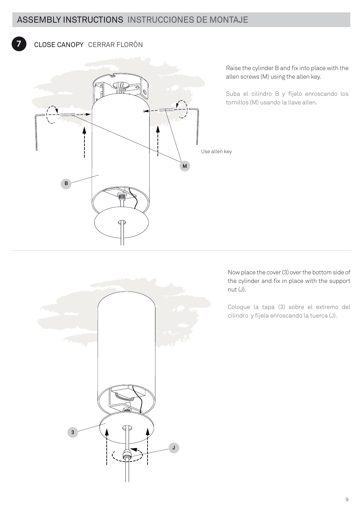## CLOSE CANOPY CERRAR FLORÓN

**7**



Raise the cylinder B and fix into place with the allen screws (M) using the allen key.

Suba el cilindro B y fíjelo enroscando los tornillos (M) usando la llave allen.

Now place the cover (3) over the bottom side of the cylinder and fix in place with the support nut (J).

Coloque la tapa (3) sobre el extremo del cilindro y fíjela enroscando la tuerca (J).

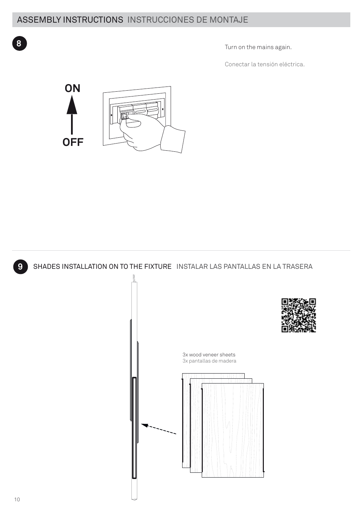**8** Turn on the mains again.

Conectar la tensión eléctrica.





**9** SHADES INSTALLATION ON TO THE FIXTURE INSTALAR LAS PANTALLAS EN LA TRASERA



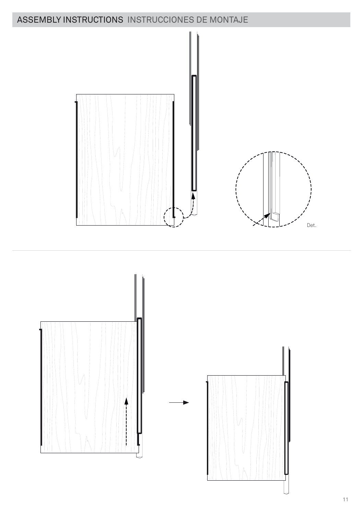



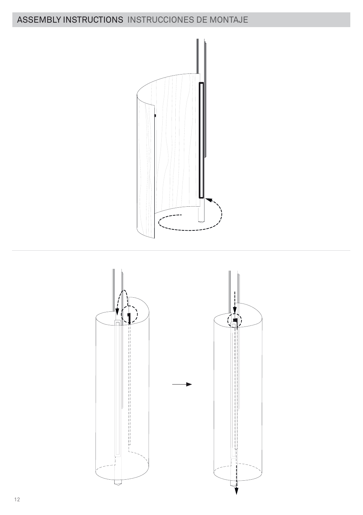

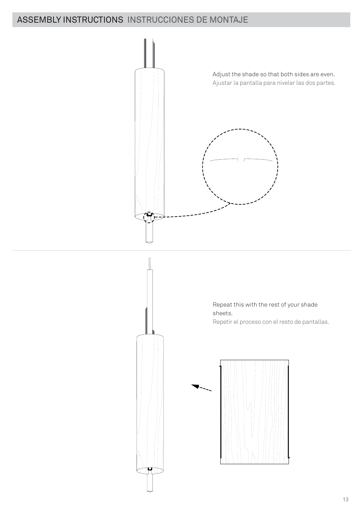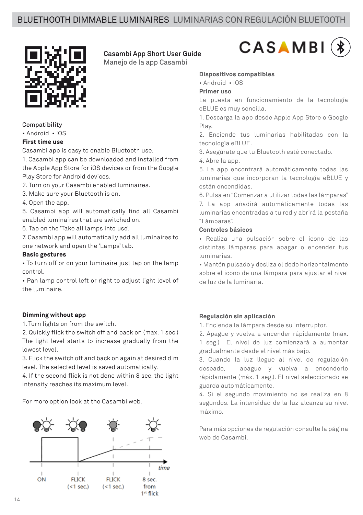Casambi App Short User Guide Manejo de la app Casambi



#### Compatibility

• Android • iOS

#### **First time use**

Casambi app is easy to enable Bluetooth use.

1. Casambi app can be downloaded and installed from the Apple App Store for iOS devices or from the Google Play Store for Android devices.

- 2. Turn on your Casambi enabled luminaires.
- 3. Make sure your Bluetooth is on.
- 4. Open the app.

5. Casambi app will automatically find all Casambi enabled luminaires that are switched on.

6. Tap on the 'Take all lamps into use'.

7. Casambi app will automatically add all luminaires to one network and open the 'Lamps' tab.

#### **Basic gestures**

• To turn off or on your luminaire just tap on the lamp control.

• Pan lamp control left or right to adjust light level of the luminaire.

#### **Dimming without app**

1. Turn lights on from the switch.

2. Quickly flick the switch off and back on (max. 1 sec.) The light level starts to increase gradually from the lowest level.

3. Flick the switch off and back on again at desired dim level. The selected level is saved automatically.

4. If the second flick is not done within 8 sec. the light intensity reaches its maximum level.

For more option look at the Casambi web.





#### **Dispositivos compatibles**

• Android • iOS

#### **Primer uso**

La puesta en funcionamiento de la tecnología eBLUE es muy sencilla.

1. Descarga la app desde Apple App Store o Google Play.

2. Enciende tus luminarias habilitadas con la tecnología eBLUE.

3. Asegúrate que tu Bluetooth esté conectado.

4. Abre la app.

5. La app encontrará automáticamente todas las luminarias que incorporan la tecnología eBLUE y están encendidas.

6. Pulsa en "Comenzar a utilizar todas las lámparas"

7. La app añadirá automáticamente todas las luminarias encontradas a tu red y abrirá la pestaña "Lámparas".

#### **Controles básicos**

• Realiza una pulsación sobre el icono de las distintas lámparas para apagar o encender tus luminarias.

• Mantén pulsado y desliza el dedo horizontalmente sobre el icono de una lámpara para ajustar el nivel de luz de la luminaria.

#### **Regulación sin aplicación**

1. Encienda la lámpara desde su interruptor.

2. Apague y vuelva a encender rápidamente (máx.

1 seg.) El nivel de luz comienzará a aumentar gradualmente desde el nivel más bajo.

3. Cuando la luz llegue al nivel de regulación deseado, apague y vuelva a encenderlo rápidamente (máx. 1 seg.). El nivel seleccionado se guarda automáticamente.

4. Si el segundo movimiento no se realiza en 8 segundos. La intensidad de la luz alcanza su nivel máximo.

Para más opciones de regulación consulte la página web de Casambi.